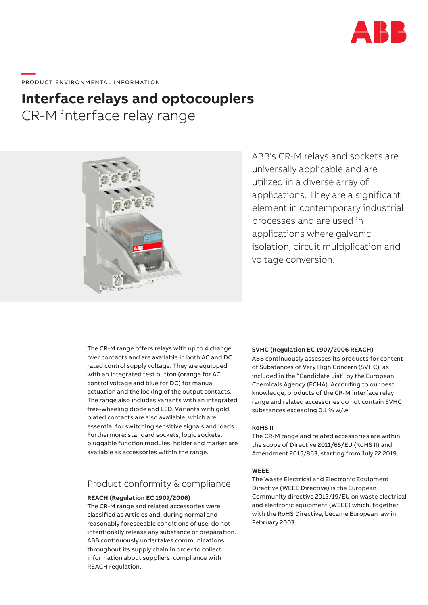

## \_\_\_\_\_<br>PRODUCT ENVIRONMENTAL INFORMATION

## **Interface relays and optocouplers**

CR-M interface relay range



ABB's CR-M relays and sockets are universally applicable and are utilized in a diverse array of applications. They are a significant element in contemporary industrial processes and are used in applications where galvanic isolation, circuit multiplication and voltage conversion.

The CR-M range offers relays with up to 4 change over contacts and are available in both AC and DC rated control supply voltage. They are equipped with an integrated test button (orange for AC control voltage and blue for DC) for manual actuation and the locking of the output contacts. The range also includes variants with an integrated free-wheeling diode and LED. Variants with gold plated contacts are also available, which are essential for switching sensitive signals and loads. Furthermore; standard sockets, logic sockets, pluggable function modules, holder and marker are available as accessories within the range.

#### Product conformity & compliance

#### **REACH (Regulation EC 1907/2006)**

The CR-M range and related accessories were classified as Articles and, during normal and reasonably foreseeable conditions of use, do not intentionally release any substance or preparation. ABB continuously undertakes communications throughout its supply chain in order to collect information about suppliers' compliance with REACH regulation.

#### **SVHC (Regulation EC 1907/2006 REACH)**

ABB continuously assesses its products for content of Substances of Very High Concern (SVHC), as included in the "Candidate List" by the European Chemicals Agency (ECHA). According to our best knowledge, products of the CR-M interface relay range and related accessories do not contain SVHC substances exceeding 0.1 % w/w.

#### **RoHS II**

The CR-M range and related accessories are within the scope of Directive 2011/65/EU (RoHS II) and Amendment 2015/863, starting from July 22 2019.

#### **WEEE**

The Waste Electrical and Electronic Equipment Directive (WEEE Directive) is the European Community directive 2012/19/EU on waste electrical and electronic equipment (WEEE) which, together with the RoHS Directive, became European law in February 2003.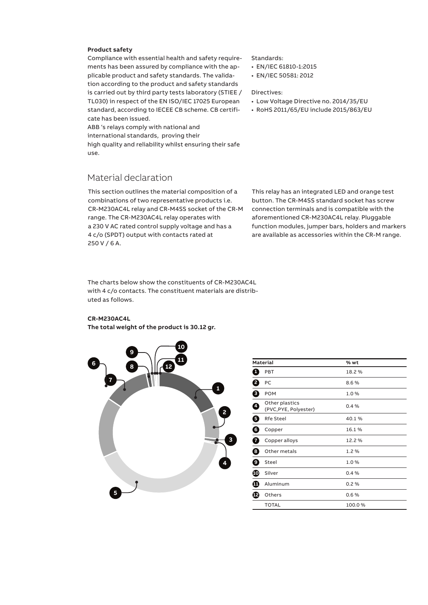#### **Product safety**

Compliance with essential health and safety requirements has been assured by compliance with the applicable product and safety standards. The validation according to the product and safety standards is carried out by third party tests laboratory (STIEE / TL030) in respect of the EN ISO/IEC 17025 European standard, according to IECEE CB scheme. CB certificate has been issued.

ABB 's relays comply with national and international standards, proving their high quality and reliability whilst ensuring their safe use.

#### Material declaration

This section outlines the material composition of a combinations of two representative products i.e. CR-M230AC4L relay and CR-M4SS socket of the CR-M range. The CR-M230AC4L relay operates with a 230 V AC rated control supply voltage and has a 4 c/o (SPDT) output with contacts rated at 250 V / 6 A.

The charts below show the constituents of CR-M230AC4L with 4 c/o contacts. The constituent materials are distributed as follows.

#### **CR-M230AC4L**

**The total weight of the product is 30.12 gr.**



#### **Material % wt 1** PBT 18.2 % **2** PC 8.6 % **3** POM 1.0 % **<sup>4</sup>** Other plastics (PVC,PYE, Polyester) 0.4 % **Rfe Steel 40.1 % 6** Copper 16.1 % **7** Copper alloys 12.2 % **8** Other metals 1.2 % **9** Steel 1.0 % **10** Silver 0.4 % **11** Aluminum 0.2 % **12** Others 0.6% TOTAL 100.0 %

#### Standards:

- EN/IEC 61810-1:2015
- EN/IEC 50581: 2012

#### Directives:

- Low Voltage Directive no. 2014/35/EU
- RoHS 2011/65/EU include 2015/863/EU

This relay has an integrated LED and orange test button. The CR-M4SS standard socket has screw connection terminals and is compatible with the aforementioned CR-M230AC4L relay. Pluggable function modules, jumper bars, holders and markers are available as accessories within the CR-M range.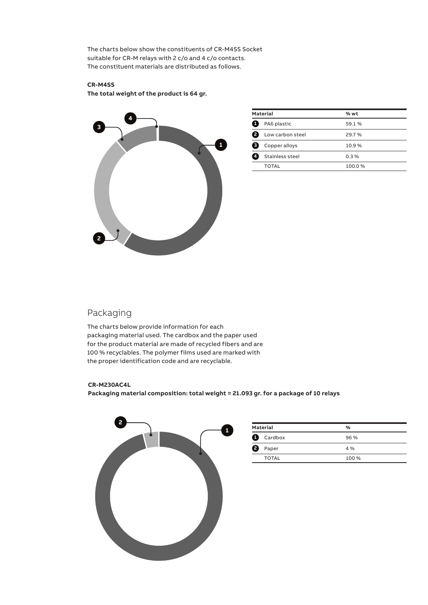The charts below show the constituents of CR-M4SS Socket suitable for CR-M relays with 2 c/o and 4 c/o contacts. The constituent materials are distributed as follows.

#### **CR-M4SS**

**The total weight of the product is 64 gr.**



| <b>Material</b> |                  | % wt    |  |
|-----------------|------------------|---------|--|
| Œ               | PA6 plastic      | 59.1 %  |  |
| Ø               | Low carbon steel | 29.7%   |  |
| (3              | Copper alloys    | 10.9%   |  |
| 64              | Stainless steel  | $0.3\%$ |  |
|                 | <b>TOTAL</b>     | 100.0%  |  |
|                 |                  |         |  |

### Packaging

The charts below provide information for each packaging material used. The cardbox and the paper used for the product material are made of recycled fibers and are 100 % recyclables. The polymer films used are marked with the proper identification code and are recyclable.

#### **CR-M230AC4L**

**Packaging material composition: total weight = 21.093 gr. for a package of 10 relays**



| <b>Material</b> |         | %     |
|-----------------|---------|-------|
| a               | Cardbox | 96%   |
| 8               | Paper   | $4\%$ |
|                 | TOTAL   | 100 % |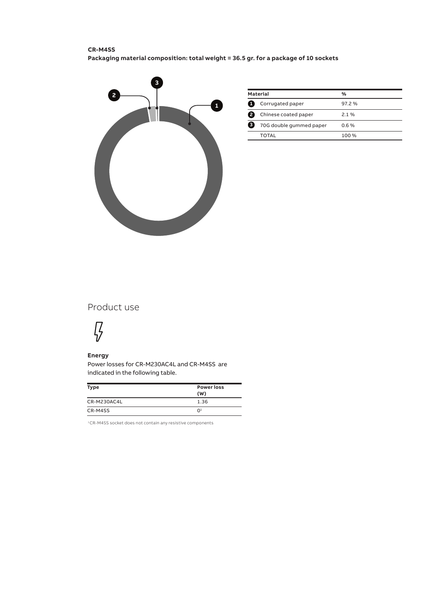#### **CR-M4SS Packaging material composition: total weight = 36.5 gr. for a package of 10 sockets**



| <b>Material</b> |                         | $\frac{0}{0}$ |
|-----------------|-------------------------|---------------|
|                 | Corrugated paper        | 97.2%         |
|                 | Chinese coated paper    | 21%           |
| з               | 70G double gummed paper | 06%           |
|                 | <b>TOTAL</b>            | 100 %         |

### Product use

# $\sqrt{2}$

#### **Energy**

Power losses for CR-M230AC4L and CR-M4SS are indicated in the following table.

| <b>Type</b> | <b>Power loss</b><br>(W) |
|-------------|--------------------------|
| CR-M230AC4L | 1.36                     |
| CR-M4SS     | 0 <sup>1</sup>           |

1 CR-M4SS socket does not contain any resistive components